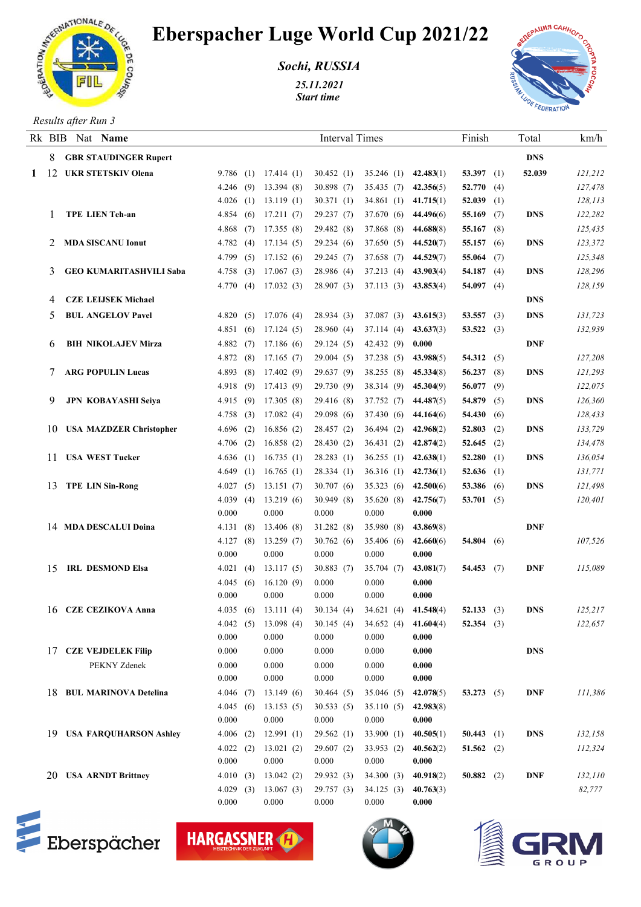

## Eberspacher Luge World Cup 2021/22

*Sochi, RUSSIA*

*25.11.2021 Start time* 



## *Results after Run 3*

|    | Rk BIB Nat Name                |                   |                    | <b>Interval Times</b> |                          |                    | Finish       | Total      | km/h    |
|----|--------------------------------|-------------------|--------------------|-----------------------|--------------------------|--------------------|--------------|------------|---------|
| 8. | <b>GBR STAUDINGER Rupert</b>   |                   |                    |                       |                          |                    |              | <b>DNS</b> |         |
|    | 1 12 UKR STETSKIV Olena        | 9.786(1)          | 17.414(1)          | 30.452(1)             | $35.246$ (1) $42.483(1)$ |                    | 53.397 $(1)$ | 52.039     | 121,212 |
|    |                                | 4.246(9)          | 13.394(8)          | 30.898 (7)            | $35.435(7)$ $42.356(5)$  |                    | 52.770(4)    |            | 127,478 |
|    |                                | 4.026(1)          | 13.119(1)          | 30.371(1)             | 34.861 (1) 41.715(1)     |                    | 52.039 $(1)$ |            | 128,113 |
|    | <b>TPE LIEN Teh-an</b>         | 4.854(6)          | 17.211(7)          | 29.237(7)             | 37.670 (6) $44.496(6)$   |                    | 55.169 $(7)$ | DNS        | 122,282 |
|    |                                | 4.868(7)          | 17.355(8)          | 29.482 (8)            | 37.868 (8) 44.688(8)     |                    | 55.167 $(8)$ |            | 125,435 |
| 2  | <b>MDA SISCANU Ionut</b>       | 4.782(4)          | 17.134(5)          | 29.234(6)             | $37.650(5)$ 44.520(7)    |                    | 55.157 $(6)$ | DNS        | 123,372 |
|    |                                | 4.799(5)          | 17.152(6)          | 29.245(7)             | 37.658 (7) 44.529(7)     |                    | 55.064 $(7)$ |            | 125,348 |
|    | <b>GEO KUMARITASHVILI Saba</b> | 4.758(3)          | 17.067(3)          | 28.986 (4)            | 37.213 (4) 43.903(4)     |                    | 54.187 $(4)$ | DNS        | 128,296 |
|    |                                | 4.770(4)          | 17.032(3)          | 28.907(3)             | 37.113 (3) 43.853(4)     |                    | 54.097 $(4)$ |            | 128,159 |
| 4  | <b>CZE LEIJSEK Michael</b>     |                   |                    |                       |                          |                    |              | <b>DNS</b> |         |
| 5  | <b>BUL ANGELOV Pavel</b>       | 4.820(5)          | 17.076(4)          | 28.934(3)             | $37.087(3)$ $43.615(3)$  |                    | 53.557 (3)   | DNS        | 131,723 |
|    |                                | 4.851(6)          | 17.124(5)          | 28.960(4)             | 37.114 (4) 43.637(3)     |                    | 53.522 $(3)$ |            | 132,939 |
| 6  | <b>BIH NIKOLAJEV Mirza</b>     | 4.882(7)          | 17.186(6)          | 29.124(5)             | $42.432(9)$ 0.000        |                    |              | <b>DNF</b> |         |
|    |                                | 4.872(8)          | 17.165(7)          | 29.004(5)             | 37.238 (5) 43.988(5)     |                    | 54.312 $(5)$ |            | 127,208 |
|    | <b>ARG POPULIN Lucas</b>       | 4.893(8)          | 17.402(9)          | 29.637(9)             | 38.255 (8) 45.334(8)     |                    | 56.237(8)    | DNS        | 121,293 |
|    |                                | 4.918(9)          | 17.413(9)          | 29.730 (9)            | 38.314 (9) 45.304(9)     |                    | 56.077 (9)   |            | 122,075 |
| 9. | <b>JPN KOBAYASHI Seiya</b>     | 4.915(9)          | 17.305(8)          | 29.416 (8)            | 37.752 (7) 44.487(5)     |                    | 54.879 $(5)$ | DNS        | 126,360 |
|    |                                | 4.758(3)          | 17.082(4)          | 29.098(6)             | 37.430 (6) 44.164(6)     |                    | 54.430 (6)   |            | 128,433 |
|    | 10 USA MAZDZER Christopher     | 4.696(2)          | 16.856(2)          | 28.457 (2)            | 36.494 (2) 42.968(2)     |                    | 52.803 $(2)$ | DNS        | 133,729 |
|    |                                | $4.706$ (2)       | 16.858(2)          | 28.430(2)             | 36.431 (2) 42.874(2)     |                    | 52.645 $(2)$ |            | 134,478 |
|    | 11 USA WEST Tucker             | 4.636(1)          | 16.735(1)          | 28.283(1)             | 36.255 (1) $42.638(1)$   |                    | $52.280$ (1) | DNS        | 136,054 |
|    |                                | 4.649(1)          | 16.765(1)          | 28.334(1)             | $36.316(1)$ $42.736(1)$  |                    | 52.636 $(1)$ |            | 131,771 |
|    | 13 TPE LIN Sin-Rong            | 4.027(5)          | 13.151(7)          | 30.707(6)             | 35.323 (6) 42.500(6)     |                    | 53.386 (6)   | DNS        | 121,498 |
|    |                                | 4.039(4)          | 13.219(6)          | 30.949(8)             | 35.620(8)                | 42.756(7)          | 53.701 $(5)$ |            | 120,401 |
|    |                                | 0.000             | 0.000              | 0.000                 | 0.000                    | 0.000              |              |            |         |
|    | 14 MDA DESCALUI Doina          | 4.131(8)          | 13.406(8)          | 31.282 (8)            | 35.980 (8)               | 43.869(8)          |              | DNF        |         |
|    |                                | 4.127(8)          | 13.259(7)          | 30.762(6)             | 35.406 (6)               | 42.660(6)          | 54.804 $(6)$ |            | 107,526 |
|    |                                | 0.000             | 0.000              | 0.000                 | 0.000                    | 0.000              |              |            |         |
| 15 | <b>IRL DESMOND Elsa</b>        | 4.021(4)          | 13.117(5)          | 30.883(7)             | 35.704(7)                | 43.081(7)          | 54.453(7)    | DNF        | 115,089 |
|    |                                | 4.045(6)          | 16.120(9)          | 0.000                 | 0.000                    | 0.000              |              |            |         |
|    |                                | 0.000             | 0.000              | 0.000                 | 0.000                    | 0.000              |              |            |         |
|    | 16 CZE CEZIKOVA Anna           | 4.035(6)          | 13.111(4)          | 30.134(4)             | 34.621(4)                | 41.548(4)          | 52.133(3)    | DNS        | 125,217 |
|    |                                | 4.042(5)          | 13.098(4)          | 30.145(4)             | $34.652(4)$ $41.604(4)$  |                    | 52.354 $(3)$ |            | 122,657 |
|    |                                | 0.000             | 0.000              | 0.000                 | 0.000                    | 0.000              |              |            |         |
|    | 17 CZE VEJDELEK Filip          | 0.000             | 0.000              | 0.000                 | 0.000                    | 0.000              |              | <b>DNS</b> |         |
|    | PEKNY Zdenek                   | 0.000             | 0.000              | 0.000                 | 0.000                    | 0.000              |              |            |         |
|    |                                | 0.000             | 0.000              | 0.000                 | 0.000                    | 0.000              |              |            |         |
|    | 18 BUL MARINOVA Detelina       | 4.046(7)          | 13.149(6)          | 30.464(5)             | 35.046(5)                | 42.078(5)          | 53.273 $(5)$ | <b>DNF</b> | 111,386 |
|    |                                | 4.045(6)<br>0.000 | 13.153(5)          | 30.533(5)<br>0.000    | 35.110(5)                | 42.983(8)<br>0.000 |              |            |         |
|    |                                |                   | 0.000              |                       | 0.000                    |                    |              |            |         |
|    | 19 USA FARQUHARSON Ashley      | $4.006$ (2)       | 12.991(1)          | 29.562(1)             | 33.900(1)                | 40.505(1)          | 50.443 $(1)$ | <b>DNS</b> | 132,158 |
|    |                                | 4.022(2)<br>0.000 | 13.021(2)<br>0.000 | 29.607(2)<br>0.000    | 33.953(2)<br>0.000       | 40.562(2)<br>0.000 | 51.562 $(2)$ |            | 112,324 |
|    | 20 USA ARNDT Brittney          | 4.010(3)          | 13.042(2)          | 29.932(3)             | 34.300(3)                | 40.918(2)          | 50.882 (2)   | <b>DNF</b> | 132,110 |
|    |                                | 4.029(3)          | 13.067(3)          | 29.757(3)             | 34.125(3)                | 40.763(3)          |              |            | 82,777  |
|    |                                | 0.000             | 0.000              | 0.000                 | 0.000                    | 0.000              |              |            |         |
|    |                                |                   |                    |                       |                          |                    |              |            |         |